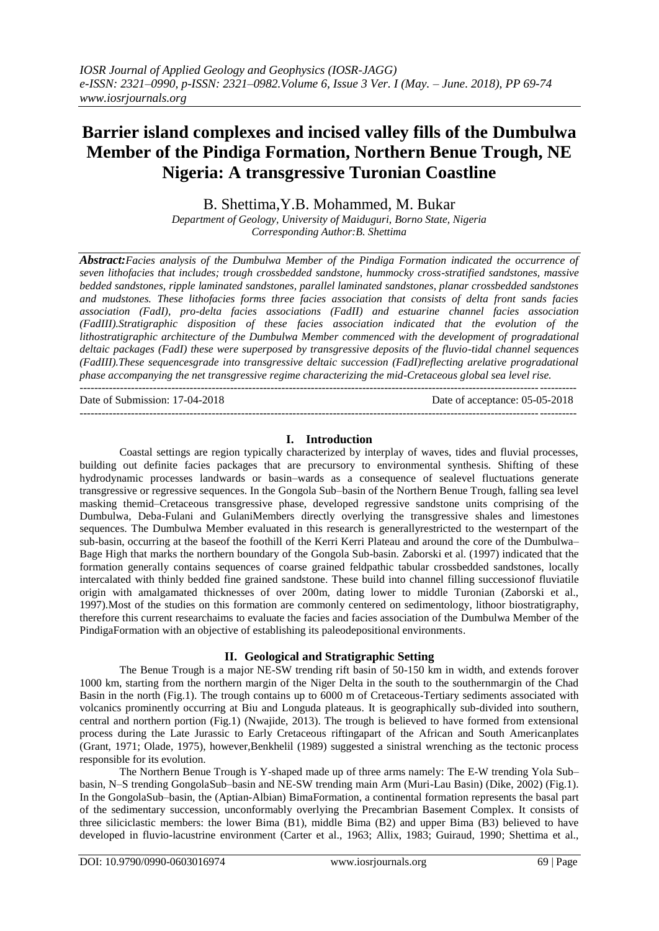# **Barrier island complexes and incised valley fills of the Dumbulwa Member of the Pindiga Formation, Northern Benue Trough, NE Nigeria: A transgressive Turonian Coastline**

B. Shettima,Y.B. Mohammed, M. Bukar

*Department of Geology, University of Maiduguri, Borno State, Nigeria Corresponding Author:B. Shettima*

*Abstract:Facies analysis of the Dumbulwa Member of the Pindiga Formation indicated the occurrence of seven lithofacies that includes; trough crossbedded sandstone, hummocky cross-stratified sandstones, massive bedded sandstones, ripple laminated sandstones, parallel laminated sandstones, planar crossbedded sandstones and mudstones. These lithofacies forms three facies association that consists of delta front sands facies association (FadI), pro-delta facies associations (FadII) and estuarine channel facies association (FadIII).Stratigraphic disposition of these facies association indicated that the evolution of the lithostratigraphic architecture of the Dumbulwa Member commenced with the development of progradational deltaic packages (FadI) these were superposed by transgressive deposits of the fluvio-tidal channel sequences (FadIII).These sequencesgrade into transgressive deltaic succession (FadI)reflecting arelative progradational phase accompanying the net transgressive regime characterizing the mid-Cretaceous global sea level rise.* 

Date of Submission: 17-04-2018 Date of acceptance: 05-05-2018

--------------------------------------------------------------------------------------------------------------------------------------*-*

 $-1\leq i\leq n-1$ 

#### **I. Introduction**

Coastal settings are region typically characterized by interplay of waves, tides and fluvial processes, building out definite facies packages that are precursory to environmental synthesis. Shifting of these hydrodynamic processes landwards or basin–wards as a consequence of sealevel fluctuations generate transgressive or regressive sequences. In the Gongola Sub–basin of the Northern Benue Trough, falling sea level masking themid–Cretaceous transgressive phase, developed regressive sandstone units comprising of the Dumbulwa, Deba-Fulani and GulaniMembers directly overlying the transgressive shales and limestones sequences. The Dumbulwa Member evaluated in this research is generallyrestricted to the westernpart of the sub-basin, occurring at the baseof the foothill of the Kerri Kerri Plateau and around the core of the Dumbulwa– Bage High that marks the northern boundary of the Gongola Sub-basin. Zaborski et al. (1997) indicated that the formation generally contains sequences of coarse grained feldpathic tabular crossbedded sandstones, locally intercalated with thinly bedded fine grained sandstone. These build into channel filling successionof fluviatile origin with amalgamated thicknesses of over 200m, dating lower to middle Turonian (Zaborski et al., 1997).Most of the studies on this formation are commonly centered on sedimentology, lithoor biostratigraphy, therefore this current researchaims to evaluate the facies and facies association of the Dumbulwa Member of the PindigaFormation with an objective of establishing its paleodepositional environments.

#### **II. Geological and Stratigraphic Setting**

The Benue Trough is a major NE-SW trending rift basin of 50-150 km in width, and extends forover 1000 km, starting from the northern margin of the Niger Delta in the south to the southernmargin of the Chad Basin in the north (Fig.1). The trough contains up to 6000 m of Cretaceous-Tertiary sediments associated with volcanics prominently occurring at Biu and Longuda plateaus. It is geographically sub-divided into southern, central and northern portion (Fig.1) (Nwajide, 2013). The trough is believed to have formed from extensional process during the Late Jurassic to Early Cretaceous riftingapart of the African and South Americanplates (Grant, 1971; Olade, 1975), however,Benkhelil (1989) suggested a sinistral wrenching as the tectonic process responsible for its evolution.

The Northern Benue Trough is Y-shaped made up of three arms namely: The E-W trending Yola Sub– basin, N–S trending GongolaSub–basin and NE-SW trending main Arm (Muri-Lau Basin) (Dike, 2002) (Fig.1). In the GongolaSub–basin, the (Aptian-Albian) BimaFormation, a continental formation represents the basal part of the sedimentary succession, unconformably overlying the Precambrian Basement Complex. It consists of three siliciclastic members: the lower Bima (B1), middle Bima (B2) and upper Bima (B3) believed to have developed in fluvio-lacustrine environment (Carter et al., 1963; Allix, 1983; Guiraud, 1990; Shettima et al.,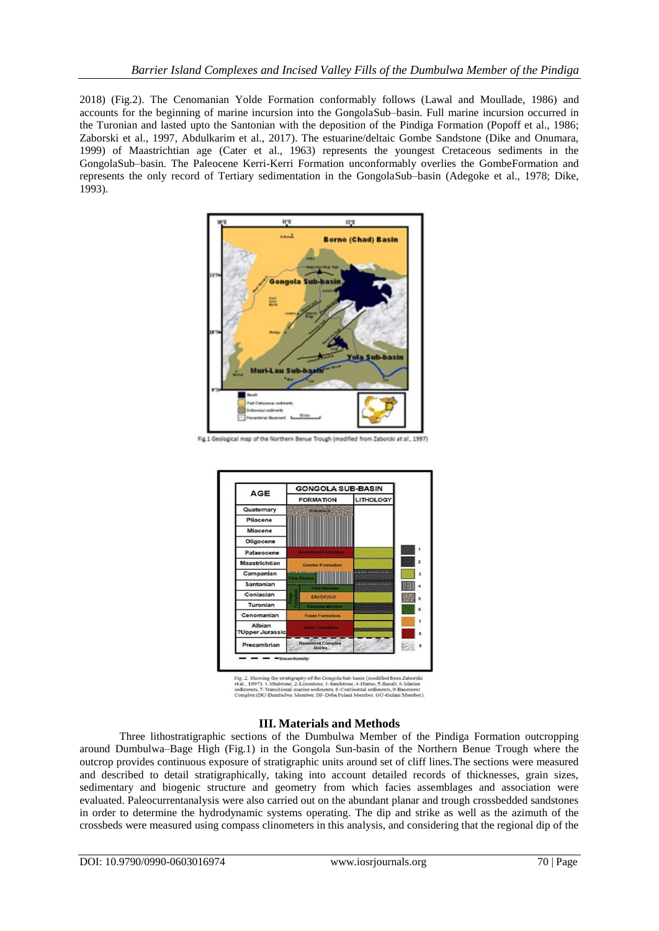2018) (Fig.2). The Cenomanian Yolde Formation conformably follows (Lawal and Moullade, 1986) and accounts for the beginning of marine incursion into the GongolaSub–basin. Full marine incursion occurred in the Turonian and lasted upto the Santonian with the deposition of the Pindiga Formation (Popoff et al., 1986; Zaborski et al., 1997, Abdulkarim et al., 2017). The estuarine/deltaic Gombe Sandstone (Dike and Onumara, 1999) of Maastrichtian age (Cater et al., 1963) represents the youngest Cretaceous sediments in the GongolaSub–basin. The Paleocene Kerri-Kerri Formation unconformably overlies the GombeFormation and represents the only record of Tertiary sedimentation in the GongolaSub–basin (Adegoke et al., 1978; Dike, 1993).



Fig.1 Geological map of the Northern Benue Trough (modified from Zaborski et al., 1997)



Fig. 2. Showing the stratigraphy of the Gongola Sub-basin (modified from Zabetal., 1997). 1-Mudstone, 2-Limestone, 3-Sandstone, 4-Hianus, 5-Basalt, 6-Machine seconders, 7-Transitional-marine sediments, 3-Continental sedim

## **III. Materials and Methods**

Three lithostratigraphic sections of the Dumbulwa Member of the Pindiga Formation outcropping around Dumbulwa–Bage High (Fig.1) in the Gongola Sun-basin of the Northern Benue Trough where the outcrop provides continuous exposure of stratigraphic units around set of cliff lines.The sections were measured and described to detail stratigraphically, taking into account detailed records of thicknesses, grain sizes, sedimentary and biogenic structure and geometry from which facies assemblages and association were evaluated. Paleocurrentanalysis were also carried out on the abundant planar and trough crossbedded sandstones in order to determine the hydrodynamic systems operating. The dip and strike as well as the azimuth of the crossbeds were measured using compass clinometers in this analysis, and considering that the regional dip of the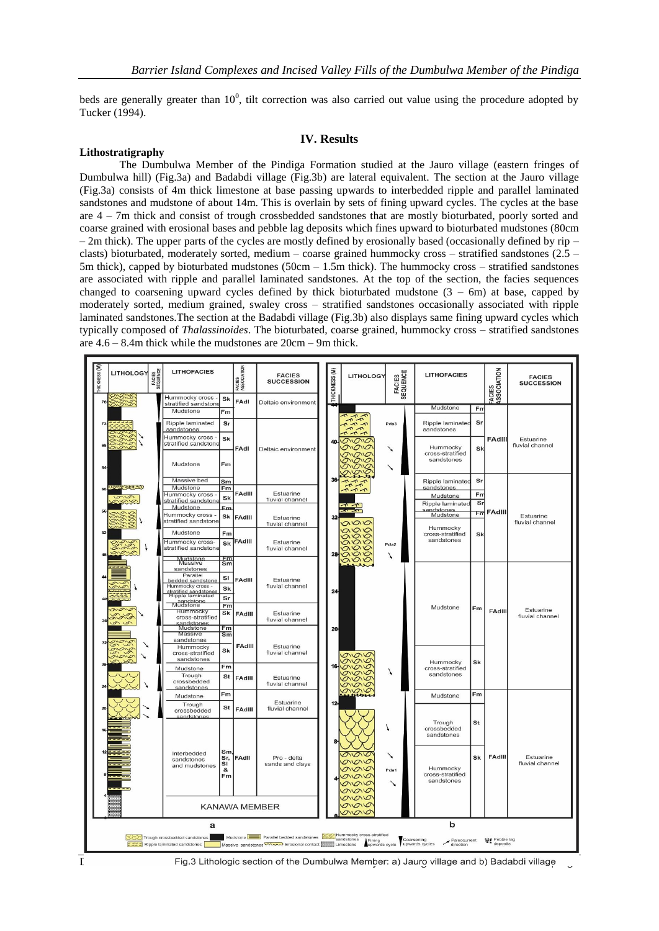beds are generally greater than  $10^0$ , tilt correction was also carried out value using the procedure adopted by Tucker (1994).

#### **IV. Results**

#### **Lithostratigraphy**

The Dumbulwa Member of the Pindiga Formation studied at the Jauro village (eastern fringes of Dumbulwa hill) (Fig.3a) and Badabdi village (Fig.3b) are lateral equivalent. The section at the Jauro village (Fig.3a) consists of 4m thick limestone at base passing upwards to interbedded ripple and parallel laminated sandstones and mudstone of about 14m. This is overlain by sets of fining upward cycles. The cycles at the base are 4 – 7m thick and consist of trough crossbedded sandstones that are mostly bioturbated, poorly sorted and coarse grained with erosional bases and pebble lag deposits which fines upward to bioturbated mudstones (80cm  $-2m$  thick). The upper parts of the cycles are mostly defined by erosionally based (occasionally defined by rip – clasts) bioturbated, moderately sorted, medium – coarse grained hummocky cross – stratified sandstones (2.5 – 5m thick), capped by bioturbated mudstones (50cm – 1.5m thick). The hummocky cross – stratified sandstones are associated with ripple and parallel laminated sandstones. At the top of the section, the facies sequences changed to coarsening upward cycles defined by thick bioturbated mudstone  $(3 - 6m)$  at base, capped by moderately sorted, medium grained, swaley cross – stratified sandstones occasionally associated with ripple laminated sandstones.The section at the Badabdi village (Fig.3b) also displays same fining upward cycles which typically composed of *Thalassinoides*. The bioturbated, coarse grained, hummocky cross – stratified sandstones are 4.6 – 8.4m thick while the mudstones are 20cm – 9m thick.

| HICKNESS (M)<br>FACIES<br>ASSOCIATION<br>FACIES<br>ASSOCIATION<br>THICKNESS (M)<br>FACIES<br>SEQUENCE<br>FACIES<br>SEQUENCE                                                                         | <b>FACIES</b><br><b>SUCCESSION</b> |  |
|-----------------------------------------------------------------------------------------------------------------------------------------------------------------------------------------------------|------------------------------------|--|
| Hummocky cross<br>Sk<br>FAdl<br>Deltaic environment<br>76<br>stratified sandstone                                                                                                                   |                                    |  |
| Mudstone<br>Fn<br>Mudstone<br>Fm                                                                                                                                                                    |                                    |  |
| Ripple laminated<br>Sr<br>Ripple laminated<br>Sr<br>Pda3<br>72<br>sandstones<br>sandstones<br>$n - n - n$                                                                                           |                                    |  |
| Hummocky cross -<br>Sk<br>FAdIII<br>$\Omega$<br>40<br>stratified sandstone<br>68<br>Hummocky<br>FAdl<br>Sk<br>Deltaic environment<br>↘<br>cross-stratified                                          | Estuarine<br>fluvial channel       |  |
| sandstones<br>Mudstone<br>Fm<br>$64-$<br>↘                                                                                                                                                          |                                    |  |
| سمعد<br>36-<br>Massive bed<br>Sr<br>Sm<br>Ripple laminated<br>$\frac{1}{4}$                                                                                                                         |                                    |  |
| Mudstone<br>sandstones<br>Fm<br>$\tau \rightarrow \tau$<br>FAdIII<br>Estuarine<br>Hummocky cross<br>F <sub>nr</sub>                                                                                 |                                    |  |
| Mudstone<br>$\sigma$<br>Sk<br>fluvial channel<br>stratified sandstone<br>Sr<br>Ripple laminated                                                                                                     |                                    |  |
| Mudstone<br>Em<br>sandstones<br>ㅠ FAdlll<br>Mudstone<br>Hummocky cross -                                                                                                                            |                                    |  |
| Sk<br>FAdIII<br>Estuarine<br>stratified sandstone<br>$\overline{\circ}$<br>fluvial channel<br>Hummocky<br>$\alpha$ oo                                                                               | Estuarine<br>fluvial channel       |  |
| Mudstone<br>Fm<br>cross-stratified<br>Sk<br>aao<br>sandstones<br>FAdill<br>Hummocky cross-<br>Estuarine<br>ago                                                                                      |                                    |  |
| Sk<br>Pda2<br>$\overline{\circ}$<br>stratified sandstone<br>fluvial channel<br>000<br>28 <sub>1</sub><br>7                                                                                          |                                    |  |
| Mudstone<br>Massive<br>Fm<br>$\overline{\circ}$<br>Sm                                                                                                                                               |                                    |  |
| sandstones<br>Parallel<br>SI                                                                                                                                                                        |                                    |  |
| FAdill<br>Estuarine<br>bedded sandstone<br>Hummocky cross<br>fluvial channel                                                                                                                        |                                    |  |
| Sk<br>24<br>stratified sandstones<br>Ripple laminated<br>Sr                                                                                                                                         |                                    |  |
| sandstone<br>Mudstone<br>Fm                                                                                                                                                                         |                                    |  |
| Mudstone<br>Fm<br>avono<br>Hummocky<br>FAdIII<br>Sk<br>FAdIII<br>Estuarine<br>Lole                                                                                                                  | Estuarine<br>fluvial channel       |  |
| cross-stratified<br>fluvial channel<br>sandstones<br>Mudstone<br>o o                                                                                                                                |                                    |  |
| Fm<br>2어<br>Massive<br>$\overline{\mathsf{sm}}$                                                                                                                                                     |                                    |  |
| sandstones                                                                                                                                                                                          |                                    |  |
| FAdlII<br>Hummocky<br>Estuarine<br>Sk<br>fluvial channel<br>cross-stratified                                                                                                                        |                                    |  |
| ovovo<br>sandstones<br>ovovo<br>Hummocky<br>Sk                                                                                                                                                      |                                    |  |
| 16<br>Fm<br>ovavo<br>Mudstone<br>cross-stratified<br>1<br>vava                                                                                                                                      |                                    |  |
| sandstones<br>Trough<br>St<br>FAdlII<br>Estuarine<br>MO<br>crossbedded<br>fluvial channel<br>へのゆ<br>sandstones                                                                                      |                                    |  |
| Fm<br>Fm<br>phone<br>Mudstone<br>Mudstone                                                                                                                                                           |                                    |  |
| Estuarine<br>12<br>Trough<br>St<br>fluvial channel<br>FAdIII<br>crossbedded                                                                                                                         |                                    |  |
| sandstones<br>Trough<br>St<br>crossbedded                                                                                                                                                           |                                    |  |
| sandstones                                                                                                                                                                                          |                                    |  |
| Sm<br>Interbedded<br>0.00<br>↘                                                                                                                                                                      |                                    |  |
| FAdIII<br>FAdll<br>Sk<br>Sr,<br>Pro - delta<br>sandstones<br>grava<br>SI<br>sands and clays                                                                                                         | Estuarine<br>fluvial channel       |  |
| and mudstones<br>Hummocky<br>0.00<br>&<br>Pda1<br>cross-stratified                                                                                                                                  |                                    |  |
| Fm<br>$\mathcal{Q} \cap \mathcal{Q}$<br>sandstones<br>ovovo<br>↘                                                                                                                                    |                                    |  |
| avav                                                                                                                                                                                                |                                    |  |
| 0.00<br>ovovo<br><b>KANAWA MEMBER</b>                                                                                                                                                               |                                    |  |
| ovovo                                                                                                                                                                                               |                                    |  |
| b<br>a                                                                                                                                                                                              |                                    |  |
| Mudstone <b>Parallel bedded sandstones</b> Wallenmocky cross-stratified<br>Trough crossbedded sandstones<br>Coarsening<br>₩ Pebble lag<br>Fining<br>upwards cycle<br>upwards cycles<br>Paleocurrent |                                    |  |
| Massive sandstones <b>WOOD</b> Erosional contact Limestone<br>Ripple laminated sandstones<br>direction                                                                                              |                                    |  |



 $\overline{I}$  Fig.3 Lithologic section of the Dumbulwa Member: a) Jauro village and b) Badabdi village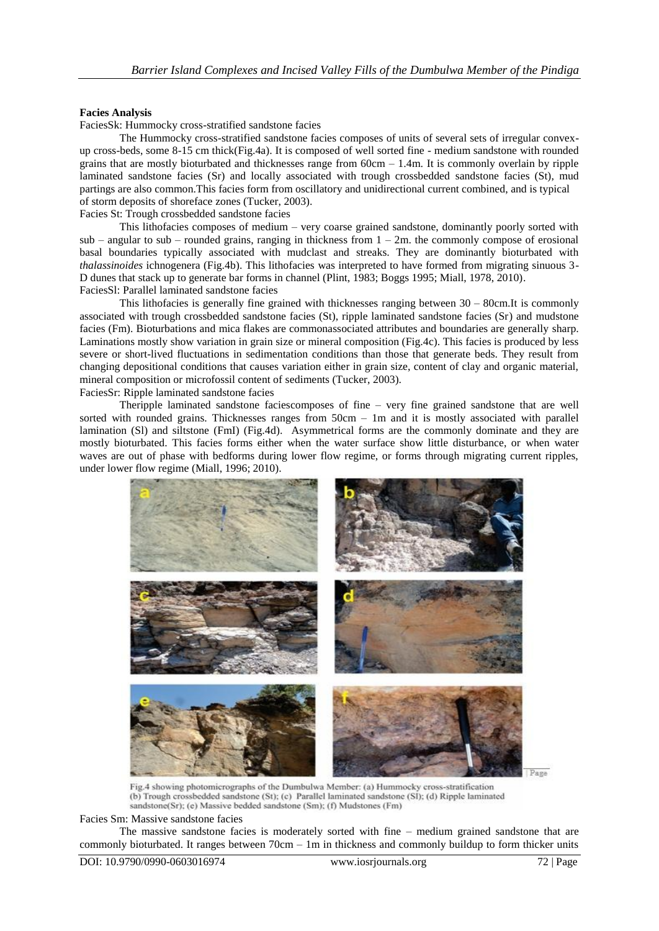#### **Facies Analysis**

FaciesSk: Hummocky cross-stratified sandstone facies

The Hummocky cross-stratified sandstone facies composes of units of several sets of irregular convexup cross-beds, some 8-15 cm thick(Fig.4a). It is composed of well sorted fine - medium sandstone with rounded grains that are mostly bioturbated and thicknesses range from  $60cm - 1.4m$ . It is commonly overlain by ripple laminated sandstone facies (Sr) and locally associated with trough crossbedded sandstone facies (St), mud partings are also common.This facies form from oscillatory and unidirectional current combined, and is typical of storm deposits of shoreface zones (Tucker, 2003).

Facies St: Trough crossbedded sandstone facies

This lithofacies composes of medium – very coarse grained sandstone, dominantly poorly sorted with sub – angular to sub – rounded grains, ranging in thickness from  $1 - 2m$ . the commonly compose of erosional basal boundaries typically associated with mudclast and streaks. They are dominantly bioturbated with *thalassinoides* ichnogenera (Fig.4b). This lithofacies was interpreted to have formed from migrating sinuous 3- D dunes that stack up to generate bar forms in channel (Plint, 1983; Boggs 1995; Miall, 1978, 2010). FaciesSl: Parallel laminated sandstone facies

This lithofacies is generally fine grained with thicknesses ranging between 30 – 80cm.It is commonly associated with trough crossbedded sandstone facies (St), ripple laminated sandstone facies (Sr) and mudstone facies (Fm). Bioturbations and mica flakes are commonassociated attributes and boundaries are generally sharp. Laminations mostly show variation in grain size or mineral composition (Fig.4c). This facies is produced by less severe or short-lived fluctuations in sedimentation conditions than those that generate beds. They result from changing depositional conditions that causes variation either in grain size, content of clay and organic material, mineral composition or microfossil content of sediments (Tucker, 2003).

FaciesSr: Ripple laminated sandstone facies

Theripple laminated sandstone faciescomposes of fine – very fine grained sandstone that are well sorted with rounded grains. Thicknesses ranges from 50cm – 1m and it is mostly associated with parallel lamination (Sl) and siltstone (FmI) (Fig.4d). Asymmetrical forms are the commonly dominate and they are mostly bioturbated. This facies forms either when the water surface show little disturbance, or when water waves are out of phase with bedforms during lower flow regime, or forms through migrating current ripples, under lower flow regime (Miall, 1996; 2010).



Fig.4 showing photomicrographs of the Dumbulwa Member: (a) Hummocky cross-stratification (b) Trough crossbedded sandstone (St); (c) Parallel laminated sandstone (SI); (d) Ripple laminated sandstone(Sr); (e) Massive bedded sandstone (Sm); (f) Mudstones (Fm)

Facies Sm: Massive sandstone facies

The massive sandstone facies is moderately sorted with fine – medium grained sandstone that are commonly bioturbated. It ranges between 70cm – 1m in thickness and commonly buildup to form thicker units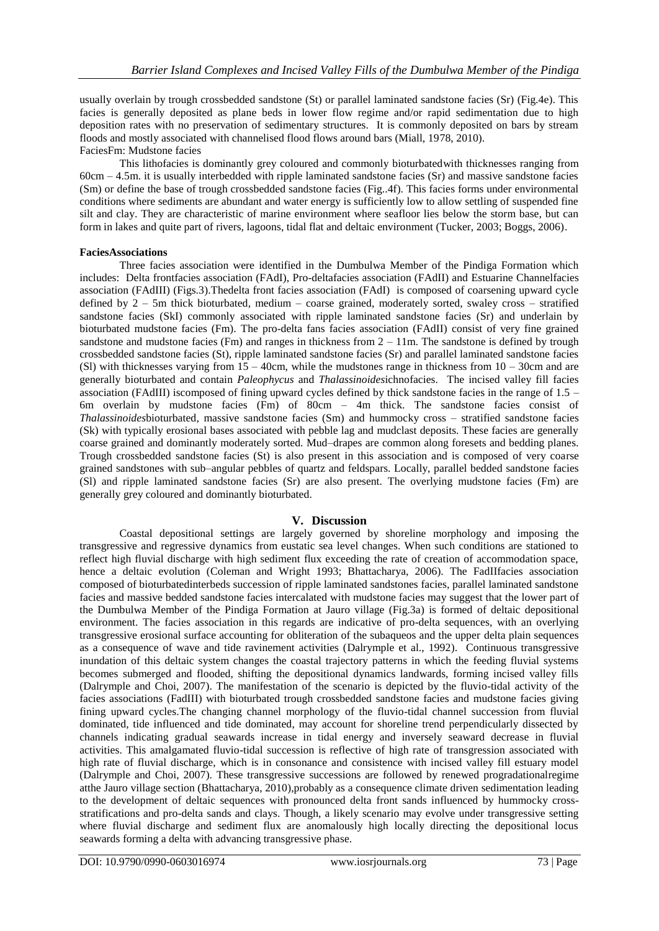usually overlain by trough crossbedded sandstone (St) or parallel laminated sandstone facies (Sr) (Fig.4e). This facies is generally deposited as plane beds in lower flow regime and/or rapid sedimentation due to high deposition rates with no preservation of sedimentary structures. It is commonly deposited on bars by stream floods and mostly associated with channelised flood flows around bars (Miall, 1978, 2010). FaciesFm: Mudstone facies

This lithofacies is dominantly grey coloured and commonly bioturbatedwith thicknesses ranging from 60cm – 4.5m. it is usually interbedded with ripple laminated sandstone facies (Sr) and massive sandstone facies (Sm) or define the base of trough crossbedded sandstone facies (Fig..4f). This facies forms under environmental conditions where sediments are abundant and water energy is sufficiently low to allow settling of suspended fine silt and clay. They are characteristic of marine environment where seafloor lies below the storm base, but can form in lakes and quite part of rivers, lagoons, tidal flat and deltaic environment (Tucker, 2003; Boggs, 2006).

## **FaciesAssociations**

Three facies association were identified in the Dumbulwa Member of the Pindiga Formation which includes: Delta frontfacies association (FAdI), Pro-deltafacies association (FAdII) and Estuarine Channelfacies association (FAdIII) (Figs.3).Thedelta front facies association (FAdI) is composed of coarsening upward cycle defined by 2 – 5m thick bioturbated, medium – coarse grained, moderately sorted, swaley cross – stratified sandstone facies (SkI) commonly associated with ripple laminated sandstone facies (Sr) and underlain by bioturbated mudstone facies (Fm). The pro-delta fans facies association (FAdII) consist of very fine grained sandstone and mudstone facies (Fm) and ranges in thickness from  $2 - 11$ m. The sandstone is defined by trough crossbedded sandstone facies (St), ripple laminated sandstone facies (Sr) and parallel laminated sandstone facies (Sl) with thicknesses varying from  $15 - 40$ cm, while the mudstones range in thickness from  $10 - 30$ cm and are generally bioturbated and contain *Paleophycus* and *Thalassinoides*ichnofacies. The incised valley fill facies association (FAdIII) iscomposed of fining upward cycles defined by thick sandstone facies in the range of 1.5 – 6m overlain by mudstone facies (Fm) of 80cm – 4m thick. The sandstone facies consist of *Thalassinoides*bioturbated, massive sandstone facies (Sm) and hummocky cross – stratified sandstone facies (Sk) with typically erosional bases associated with pebble lag and mudclast deposits. These facies are generally coarse grained and dominantly moderately sorted. Mud–drapes are common along foresets and bedding planes. Trough crossbedded sandstone facies (St) is also present in this association and is composed of very coarse grained sandstones with sub–angular pebbles of quartz and feldspars. Locally, parallel bedded sandstone facies (Sl) and ripple laminated sandstone facies (Sr) are also present. The overlying mudstone facies (Fm) are generally grey coloured and dominantly bioturbated.

# **V. Discussion**

Coastal depositional settings are largely governed by shoreline morphology and imposing the transgressive and regressive dynamics from eustatic sea level changes. When such conditions are stationed to reflect high fluvial discharge with high sediment flux exceeding the rate of creation of accommodation space, hence a deltaic evolution (Coleman and Wright 1993; Bhattacharya, 2006). The FadIIfacies association composed of bioturbatedinterbeds succession of ripple laminated sandstones facies, parallel laminated sandstone facies and massive bedded sandstone facies intercalated with mudstone facies may suggest that the lower part of the Dumbulwa Member of the Pindiga Formation at Jauro village (Fig.3a) is formed of deltaic depositional environment. The facies association in this regards are indicative of pro-delta sequences, with an overlying transgressive erosional surface accounting for obliteration of the subaqueos and the upper delta plain sequences as a consequence of wave and tide ravinement activities (Dalrymple et al., 1992). Continuous transgressive inundation of this deltaic system changes the coastal trajectory patterns in which the feeding fluvial systems becomes submerged and flooded, shifting the depositional dynamics landwards, forming incised valley fills (Dalrymple and Choi, 2007). The manifestation of the scenario is depicted by the fluvio-tidal activity of the facies associations (FadIII) with bioturbated trough crossbedded sandstone facies and mudstone facies giving fining upward cycles.The changing channel morphology of the fluvio-tidal channel succession from fluvial dominated, tide influenced and tide dominated, may account for shoreline trend perpendicularly dissected by channels indicating gradual seawards increase in tidal energy and inversely seaward decrease in fluvial activities. This amalgamated fluvio-tidal succession is reflective of high rate of transgression associated with high rate of fluvial discharge, which is in consonance and consistence with incised valley fill estuary model (Dalrymple and Choi, 2007). These transgressive successions are followed by renewed progradationalregime atthe Jauro village section (Bhattacharya, 2010),probably as a consequence climate driven sedimentation leading to the development of deltaic sequences with pronounced delta front sands influenced by hummocky crossstratifications and pro-delta sands and clays. Though, a likely scenario may evolve under transgressive setting where fluvial discharge and sediment flux are anomalously high locally directing the depositional locus seawards forming a delta with advancing transgressive phase.